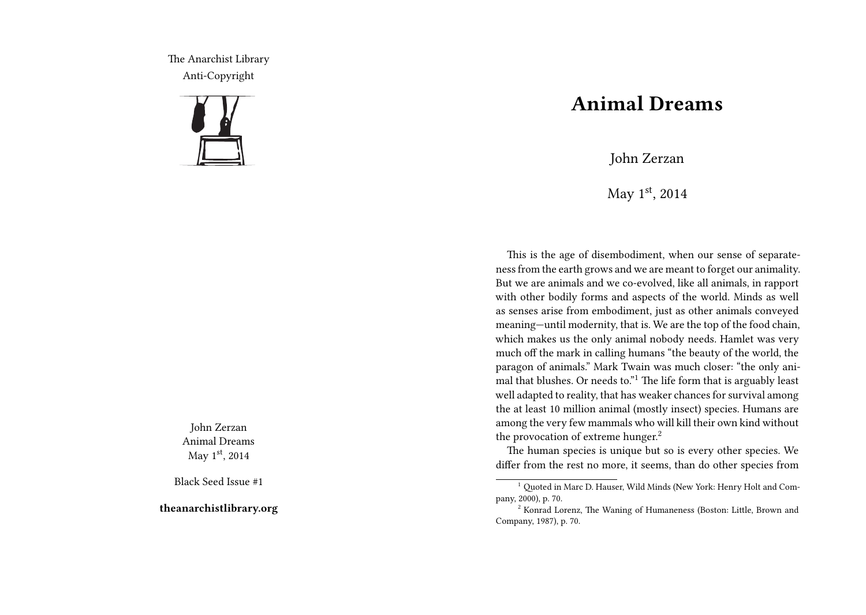The Anarchist Library Anti-Copyright



John Zerzan Animal Dreams May 1<sup>st</sup>, 2014

Black Seed Issue #1

**theanarchistlibrary.org**

## **Animal Dreams**

John Zerzan

May 1st, 2014

This is the age of disembodiment, when our sense of separateness from the earth grows and we are meant to forget our animality. But we are animals and we co-evolved, like all animals, in rapport with other bodily forms and aspects of the world. Minds as well as senses arise from embodiment, just as other animals conveyed meaning—until modernity, that is. We are the top of the food chain, which makes us the only animal nobody needs. Hamlet was very much off the mark in calling humans "the beauty of the world, the paragon of animals." Mark Twain was much closer: "the only animal that blushes. Or needs to."<sup>1</sup> The life form that is arguably least well adapted to reality, that has weaker chances for survival among the at least 10 million animal (mostly insect) species. Humans are among the very few mammals who will kill their own kind without the provocation of extreme hunger.<sup>2</sup>

The human species is unique but so is every other species. We differ from the rest no more, it seems, than do other species from

<sup>1</sup> Quoted in Marc D. Hauser, Wild Minds (New York: Henry Holt and Company, 2000), p. 70.

<sup>2</sup> Konrad Lorenz, The Waning of Humaneness (Boston: Little, Brown and Company, 1987), p. 70.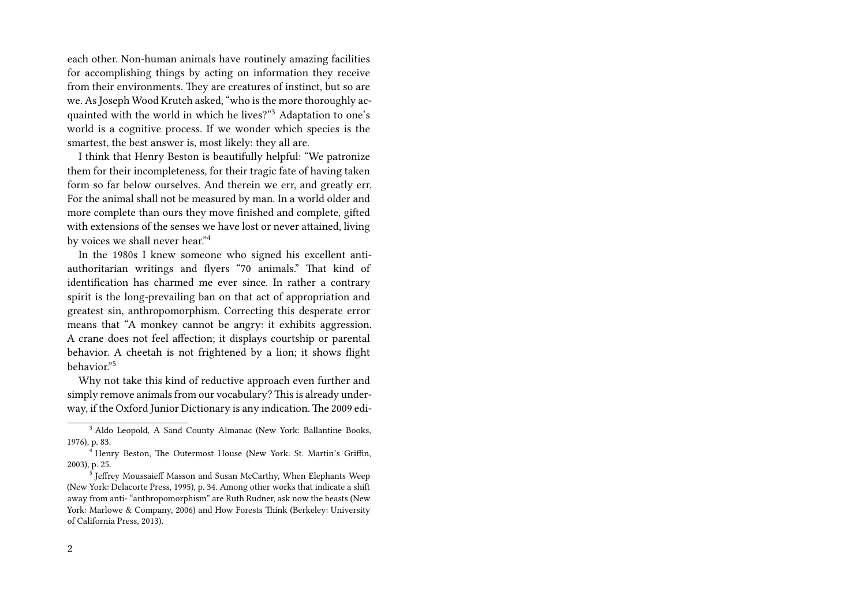each other. Non-human animals have routinely amazing facilities for accomplishing things by acting on information they receive from their environments. They are creatures of instinct, but so are we. As Joseph Wood Krutch asked, "who is the more thoroughly acquainted with the world in which he lives?"<sup>3</sup> Adaptation to one's world is a cognitive process. If we wonder which species is the smartest, the best answer is, most likely: they all are.

I think that Henry Beston is beautifully helpful: "We patronize them for their incompleteness, for their tragic fate of having taken form so far below ourselves. And therein we err, and greatly err. For the animal shall not be measured by man. In a world older and more complete than ours they move finished and complete, gifted with extensions of the senses we have lost or never attained, living by voices we shall never hear."<sup>4</sup>

In the 1980s I knew someone who signed his excellent antiauthoritarian writings and flyers "70 animals." That kind of identification has charmed me ever since. In rather a contrary spirit is the long-prevailing ban on that act of appropriation and greatest sin, anthropomorphism. Correcting this desperate error means that "A monkey cannot be angry: it exhibits aggression. A crane does not feel affection; it displays courtship or parental behavior. A cheetah is not frightened by a lion; it shows flight behavior."<sup>5</sup>

Why not take this kind of reductive approach even further and simply remove animals from our vocabulary? This is already underway, if the Oxford Junior Dictionary is any indication. The 2009 edi-

<sup>3</sup> Aldo Leopold, A Sand County Almanac (New York: Ballantine Books, 1976), p. 83.

<sup>&</sup>lt;sup>4</sup> Henry Beston, The Outermost House (New York: St. Martin's Griffin, 2003), p. 25.

<sup>&</sup>lt;sup>5</sup> Jeffrey Moussaieff Masson and Susan McCarthy, When Elephants Weep (New York: Delacorte Press, 1995), p. 34. Among other works that indicate a shift away from anti- "anthropomorphism" are Ruth Rudner, ask now the beasts (New York: Marlowe & Company, 2006) and How Forests Think (Berkeley: University of California Press, 2013).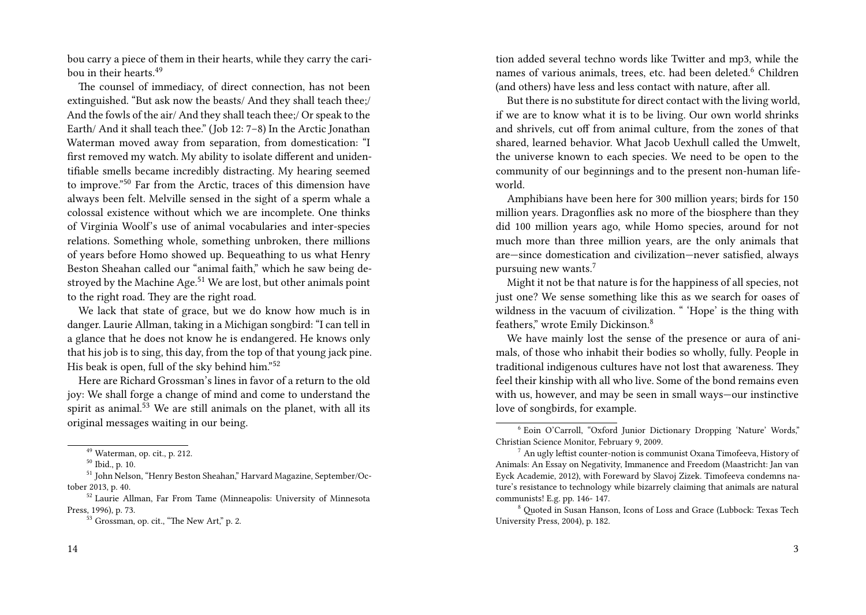bou carry a piece of them in their hearts, while they carry the caribou in their hearts.<sup>49</sup>

The counsel of immediacy, of direct connection, has not been extinguished. "But ask now the beasts/ And they shall teach thee;/ And the fowls of the air/ And they shall teach thee;/ Or speak to the Earth/ And it shall teach thee." (Job 12: 7–8) In the Arctic Jonathan Waterman moved away from separation, from domestication: "I first removed my watch. My ability to isolate different and unidentifiable smells became incredibly distracting. My hearing seemed to improve."<sup>50</sup> Far from the Arctic, traces of this dimension have always been felt. Melville sensed in the sight of a sperm whale a colossal existence without which we are incomplete. One thinks of Virginia Woolf's use of animal vocabularies and inter-species relations. Something whole, something unbroken, there millions of years before Homo showed up. Bequeathing to us what Henry Beston Sheahan called our "animal faith," which he saw being destroyed by the Machine Age.<sup>51</sup> We are lost, but other animals point to the right road. They are the right road.

We lack that state of grace, but we do know how much is in danger. Laurie Allman, taking in a Michigan songbird: "I can tell in a glance that he does not know he is endangered. He knows only that his job is to sing, this day, from the top of that young jack pine. His beak is open, full of the sky behind him."<sup>52</sup>

Here are Richard Grossman's lines in favor of a return to the old joy: We shall forge a change of mind and come to understand the spirit as animal.<sup>53</sup> We are still animals on the planet, with all its original messages waiting in our being.

tion added several techno words like Twitter and mp3, while the names of various animals, trees, etc. had been deleted.<sup>6</sup> Children (and others) have less and less contact with nature, after all.

But there is no substitute for direct contact with the living world, if we are to know what it is to be living. Our own world shrinks and shrivels, cut off from animal culture, from the zones of that shared, learned behavior. What Jacob Uexhull called the Umwelt, the universe known to each species. We need to be open to the community of our beginnings and to the present non-human lifeworld.

Amphibians have been here for 300 million years; birds for 150 million years. Dragonflies ask no more of the biosphere than they did 100 million years ago, while Homo species, around for not much more than three million years, are the only animals that are—since domestication and civilization—never satisfied, always pursuing new wants.<sup>7</sup>

Might it not be that nature is for the happiness of all species, not just one? We sense something like this as we search for oases of wildness in the vacuum of civilization. " 'Hope' is the thing with feathers," wrote Emily Dickinson.<sup>8</sup>

We have mainly lost the sense of the presence or aura of animals, of those who inhabit their bodies so wholly, fully. People in traditional indigenous cultures have not lost that awareness. They feel their kinship with all who live. Some of the bond remains even with us, however, and may be seen in small ways—our instinctive love of songbirds, for example.

<sup>49</sup> Waterman, op. cit., p. 212.

<sup>50</sup> Ibid., p. 10.

<sup>51</sup> John Nelson, "Henry Beston Sheahan," Harvard Magazine, September/October 2013, p. 40.

<sup>52</sup> Laurie Allman, Far From Tame (Minneapolis: University of Minnesota Press, 1996), p. 73.

 $53$  Grossman, op. cit., "The New Art," p. 2.

<sup>6</sup> Eoin O'Carroll, "Oxford Junior Dictionary Dropping 'Nature' Words," Christian Science Monitor, February 9, 2009.

 $<sup>7</sup>$  An ugly leftist counter-notion is communist Oxana Timofeeva, History of</sup> Animals: An Essay on Negativity, Immanence and Freedom (Maastricht: Jan van Eyck Academie, 2012), with Foreward by Slavoj Zizek. Timofeeva condemns nature's resistance to technology while bizarrely claiming that animals are natural communists! E.g. pp. 146- 147.

<sup>8</sup> Quoted in Susan Hanson, Icons of Loss and Grace (Lubbock: Texas Tech University Press, 2004), p. 182.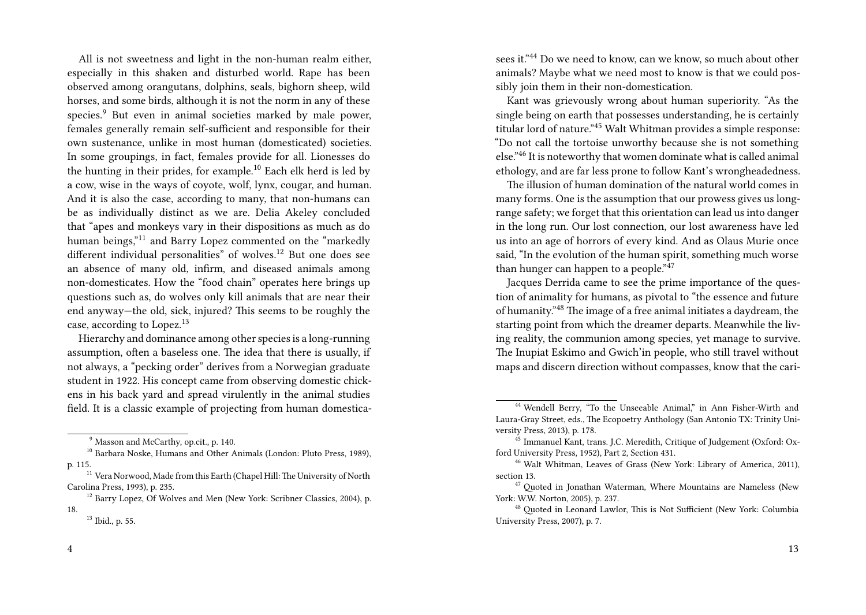All is not sweetness and light in the non-human realm either, especially in this shaken and disturbed world. Rape has been observed among orangutans, dolphins, seals, bighorn sheep, wild horses, and some birds, although it is not the norm in any of these species.<sup>9</sup> But even in animal societies marked by male power, females generally remain self-sufficient and responsible for their own sustenance, unlike in most human (domesticated) societies. In some groupings, in fact, females provide for all. Lionesses do the hunting in their prides, for example.<sup>10</sup> Each elk herd is led by a cow, wise in the ways of coyote, wolf, lynx, cougar, and human. And it is also the case, according to many, that non-humans can be as individually distinct as we are. Delia Akeley concluded that "apes and monkeys vary in their dispositions as much as do human beings,"<sup>11</sup> and Barry Lopez commented on the "markedly different individual personalities" of wolves.<sup>12</sup> But one does see an absence of many old, infirm, and diseased animals among non-domesticates. How the "food chain" operates here brings up questions such as, do wolves only kill animals that are near their end anyway—the old, sick, injured? This seems to be roughly the case, according to Lopez.<sup>13</sup>

Hierarchy and dominance among other species is a long-running assumption, often a baseless one. The idea that there is usually, if not always, a "pecking order" derives from a Norwegian graduate student in 1922. His concept came from observing domestic chickens in his back yard and spread virulently in the animal studies field. It is a classic example of projecting from human domesticasees it."<sup>44</sup> Do we need to know, can we know, so much about other animals? Maybe what we need most to know is that we could possibly join them in their non-domestication.

Kant was grievously wrong about human superiority. "As the single being on earth that possesses understanding, he is certainly titular lord of nature."<sup>45</sup> Walt Whitman provides a simple response: "Do not call the tortoise unworthy because she is not something else."<sup>46</sup> It is noteworthy that women dominate what is called animal ethology, and are far less prone to follow Kant's wrongheadedness.

The illusion of human domination of the natural world comes in many forms. One is the assumption that our prowess gives us longrange safety; we forget that this orientation can lead us into danger in the long run. Our lost connection, our lost awareness have led us into an age of horrors of every kind. And as Olaus Murie once said, "In the evolution of the human spirit, something much worse than hunger can happen to a people."<sup>47</sup>

Jacques Derrida came to see the prime importance of the question of animality for humans, as pivotal to "the essence and future of humanity."<sup>48</sup> The image of a free animal initiates a daydream, the starting point from which the dreamer departs. Meanwhile the living reality, the communion among species, yet manage to survive. The Inupiat Eskimo and Gwich'in people, who still travel without maps and discern direction without compasses, know that the cari-

<sup>&</sup>lt;sup>9</sup> Masson and McCarthy, op.cit., p. 140.

<sup>&</sup>lt;sup>10</sup> Barbara Noske, Humans and Other Animals (London: Pluto Press, 1989), p. 115.

<sup>&</sup>lt;sup>11</sup> Vera Norwood, Made from this Earth (Chapel Hill: The University of North Carolina Press, 1993), p. 235.

<sup>&</sup>lt;sup>12</sup> Barry Lopez, Of Wolves and Men (New York: Scribner Classics, 2004), p. 18.

<sup>13</sup> Ibid., p. 55.

<sup>&</sup>lt;sup>44</sup> Wendell Berry, "To the Unseeable Animal," in Ann Fisher-Wirth and Laura-Gray Street, eds., The Ecopoetry Anthology (San Antonio TX: Trinity University Press, 2013), p. 178.

<sup>45</sup> Immanuel Kant, trans. J.C. Meredith, Critique of Judgement (Oxford: Oxford University Press, 1952), Part 2, Section 431.

<sup>46</sup> Walt Whitman, Leaves of Grass (New York: Library of America, 2011), section 13.

<sup>&</sup>lt;sup>47</sup> Ouoted in Jonathan Waterman, Where Mountains are Nameless (New York: W.W. Norton, 2005), p. 237.

<sup>48</sup> Quoted in Leonard Lawlor, This is Not Sufficient (New York: Columbia University Press, 2007), p. 7.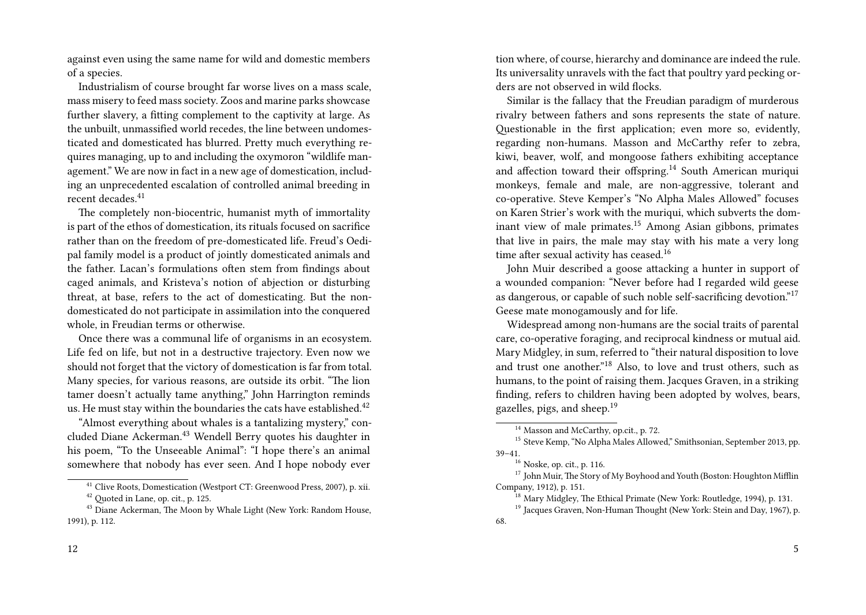against even using the same name for wild and domestic members of a species.

Industrialism of course brought far worse lives on a mass scale, mass misery to feed mass society. Zoos and marine parks showcase further slavery, a fitting complement to the captivity at large. As the unbuilt, unmassified world recedes, the line between undomesticated and domesticated has blurred. Pretty much everything requires managing, up to and including the oxymoron "wildlife management." We are now in fact in a new age of domestication, including an unprecedented escalation of controlled animal breeding in recent decades.<sup>41</sup>

The completely non-biocentric, humanist myth of immortality is part of the ethos of domestication, its rituals focused on sacrifice rather than on the freedom of pre-domesticated life. Freud's Oedipal family model is a product of jointly domesticated animals and the father. Lacan's formulations often stem from findings about caged animals, and Kristeva's notion of abjection or disturbing threat, at base, refers to the act of domesticating. But the nondomesticated do not participate in assimilation into the conquered whole, in Freudian terms or otherwise.

Once there was a communal life of organisms in an ecosystem. Life fed on life, but not in a destructive trajectory. Even now we should not forget that the victory of domestication is far from total. Many species, for various reasons, are outside its orbit. "The lion tamer doesn't actually tame anything," John Harrington reminds us. He must stay within the boundaries the cats have established.<sup>42</sup>

"Almost everything about whales is a tantalizing mystery," concluded Diane Ackerman.<sup>43</sup> Wendell Berry quotes his daughter in his poem, "To the Unseeable Animal": "I hope there's an animal somewhere that nobody has ever seen. And I hope nobody ever

tion where, of course, hierarchy and dominance are indeed the rule. Its universality unravels with the fact that poultry yard pecking orders are not observed in wild flocks.

Similar is the fallacy that the Freudian paradigm of murderous rivalry between fathers and sons represents the state of nature. Questionable in the first application; even more so, evidently, regarding non-humans. Masson and McCarthy refer to zebra, kiwi, beaver, wolf, and mongoose fathers exhibiting acceptance and affection toward their offspring.<sup>14</sup> South American muriqui monkeys, female and male, are non-aggressive, tolerant and co-operative. Steve Kemper's "No Alpha Males Allowed" focuses on Karen Strier's work with the muriqui, which subverts the dominant view of male primates.<sup>15</sup> Among Asian gibbons, primates that live in pairs, the male may stay with his mate a very long time after sexual activity has ceased.<sup>16</sup>

John Muir described a goose attacking a hunter in support of a wounded companion: "Never before had I regarded wild geese as dangerous, or capable of such noble self-sacrificing devotion."<sup>17</sup> Geese mate monogamously and for life.

Widespread among non-humans are the social traits of parental care, co-operative foraging, and reciprocal kindness or mutual aid. Mary Midgley, in sum, referred to "their natural disposition to love and trust one another."<sup>18</sup> Also, to love and trust others, such as humans, to the point of raising them. Jacques Graven, in a striking finding, refers to children having been adopted by wolves, bears, gazelles, pigs, and sheep.<sup>19</sup>

<sup>&</sup>lt;sup>41</sup> Clive Roots, Domestication (Westport CT: Greenwood Press, 2007), p. xii.

<sup>42</sup> Quoted in Lane, op. cit., p. 125.

<sup>&</sup>lt;sup>43</sup> Diane Ackerman, The Moon by Whale Light (New York: Random House, 1991), p. 112.

<sup>&</sup>lt;sup>14</sup> Masson and McCarthy, op.cit., p. 72.

<sup>&</sup>lt;sup>15</sup> Steve Kemp, "No Alpha Males Allowed," Smithsonian, September 2013, pp. 39–41.

<sup>16</sup> Noske, op. cit., p. 116.

<sup>&</sup>lt;sup>17</sup> John Muir, The Story of My Boyhood and Youth (Boston: Houghton Mifflin Company, 1912), p. 151.

<sup>&</sup>lt;sup>18</sup> Mary Midgley, The Ethical Primate (New York: Routledge, 1994), p. 131.

<sup>&</sup>lt;sup>19</sup> Jacques Graven, Non-Human Thought (New York: Stein and Day, 1967), p. 68.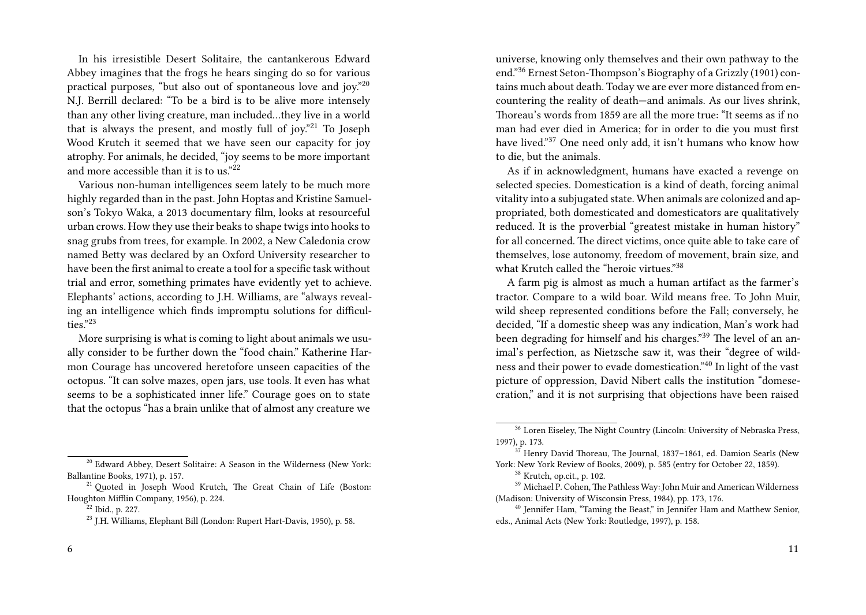In his irresistible Desert Solitaire, the cantankerous Edward Abbey imagines that the frogs he hears singing do so for various practical purposes, "but also out of spontaneous love and joy."<sup>20</sup> N.J. Berrill declared: "To be a bird is to be alive more intensely than any other living creature, man included…they live in a world that is always the present, and mostly full of joy."<sup>21</sup> To Joseph Wood Krutch it seemed that we have seen our capacity for joy atrophy. For animals, he decided, "joy seems to be more important and more accessible than it is to us."<sup>22</sup>

Various non-human intelligences seem lately to be much more highly regarded than in the past. John Hoptas and Kristine Samuelson's Tokyo Waka, a 2013 documentary film, looks at resourceful urban crows. How they use their beaks to shape twigs into hooks to snag grubs from trees, for example. In 2002, a New Caledonia crow named Betty was declared by an Oxford University researcher to have been the first animal to create a tool for a specific task without trial and error, something primates have evidently yet to achieve. Elephants' actions, according to J.H. Williams, are "always revealing an intelligence which finds impromptu solutions for difficulties."<sup>23</sup>

More surprising is what is coming to light about animals we usually consider to be further down the "food chain." Katherine Harmon Courage has uncovered heretofore unseen capacities of the octopus. "It can solve mazes, open jars, use tools. It even has what seems to be a sophisticated inner life." Courage goes on to state that the octopus "has a brain unlike that of almost any creature we universe, knowing only themselves and their own pathway to the end."<sup>36</sup> Ernest Seton-Thompson's Biography of a Grizzly (1901) contains much about death. Today we are ever more distanced from encountering the reality of death—and animals. As our lives shrink, Thoreau's words from 1859 are all the more true: "It seems as if no man had ever died in America; for in order to die you must first have lived."<sup>37</sup> One need only add, it isn't humans who know how to die, but the animals.

As if in acknowledgment, humans have exacted a revenge on selected species. Domestication is a kind of death, forcing animal vitality into a subjugated state. When animals are colonized and appropriated, both domesticated and domesticators are qualitatively reduced. It is the proverbial "greatest mistake in human history" for all concerned. The direct victims, once quite able to take care of themselves, lose autonomy, freedom of movement, brain size, and what Krutch called the "heroic virtues." 38

A farm pig is almost as much a human artifact as the farmer's tractor. Compare to a wild boar. Wild means free. To John Muir, wild sheep represented conditions before the Fall; conversely, he decided, "If a domestic sheep was any indication, Man's work had been degrading for himself and his charges."<sup>39</sup> The level of an animal's perfection, as Nietzsche saw it, was their "degree of wildness and their power to evade domestication."<sup>40</sup> In light of the vast picture of oppression, David Nibert calls the institution "domesecration," and it is not surprising that objections have been raised

<sup>&</sup>lt;sup>20</sup> Edward Abbey, Desert Solitaire: A Season in the Wilderness (New York: Ballantine Books, 1971), p. 157.

<sup>&</sup>lt;sup>21</sup> Quoted in Joseph Wood Krutch, The Great Chain of Life (Boston: Houghton Mifflin Company, 1956), p. 224.

 $22$  Ibid., p. 227.

<sup>&</sup>lt;sup>23</sup> J.H. Williams, Elephant Bill (London: Rupert Hart-Davis, 1950), p. 58.

<sup>36</sup> Loren Eiseley, The Night Country (Lincoln: University of Nebraska Press, 1997), p. 173.

<sup>&</sup>lt;sup>37</sup> Henry David Thoreau, The Journal, 1837–1861, ed. Damion Searls (New York: New York Review of Books, 2009), p. 585 (entry for October 22, 1859).

<sup>38</sup> Krutch, op.cit., p. 102.

<sup>&</sup>lt;sup>39</sup> Michael P. Cohen, The Pathless Way: John Muir and American Wilderness (Madison: University of Wisconsin Press, 1984), pp. 173, 176.

<sup>&</sup>lt;sup>40</sup> Jennifer Ham, "Taming the Beast," in Jennifer Ham and Matthew Senior, eds., Animal Acts (New York: Routledge, 1997), p. 158.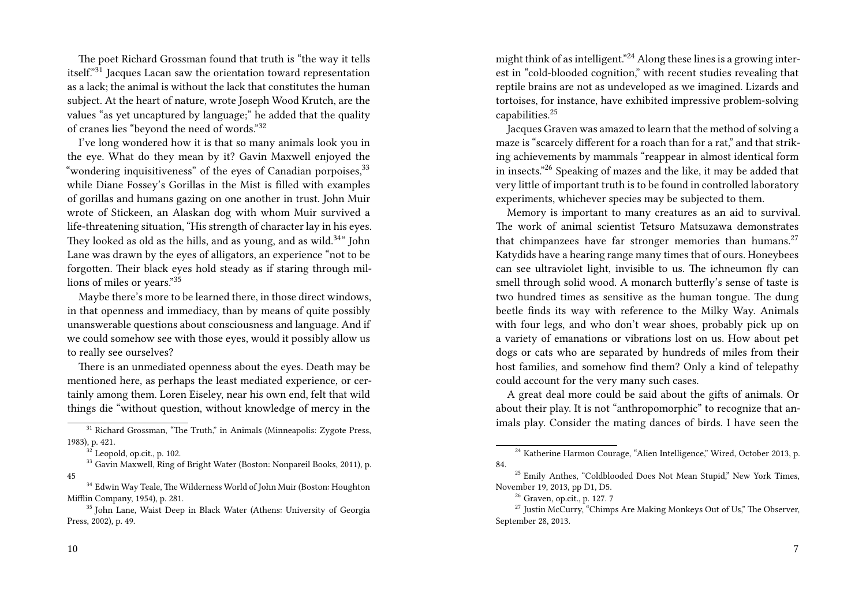The poet Richard Grossman found that truth is "the way it tells itself."<sup>31</sup> Jacques Lacan saw the orientation toward representation as a lack; the animal is without the lack that constitutes the human subject. At the heart of nature, wrote Joseph Wood Krutch, are the values "as yet uncaptured by language;" he added that the quality of cranes lies "beyond the need of words."<sup>32</sup>

I've long wondered how it is that so many animals look you in the eye. What do they mean by it? Gavin Maxwell enjoyed the "wondering inquisitiveness" of the eyes of Canadian porpoises. $33$ while Diane Fossey's Gorillas in the Mist is filled with examples of gorillas and humans gazing on one another in trust. John Muir wrote of Stickeen, an Alaskan dog with whom Muir survived a life-threatening situation, "His strength of character lay in his eyes. They looked as old as the hills, and as young, and as wild.<sup>34</sup>" John Lane was drawn by the eyes of alligators, an experience "not to be forgotten. Their black eyes hold steady as if staring through millions of miles or years."<sup>35</sup>

Maybe there's more to be learned there, in those direct windows, in that openness and immediacy, than by means of quite possibly unanswerable questions about consciousness and language. And if we could somehow see with those eyes, would it possibly allow us to really see ourselves?

There is an unmediated openness about the eyes. Death may be mentioned here, as perhaps the least mediated experience, or certainly among them. Loren Eiseley, near his own end, felt that wild things die "without question, without knowledge of mercy in the

<sup>33</sup> Gavin Maxwell, Ring of Bright Water (Boston: Nonpareil Books, 2011), p. 45

<sup>34</sup> Edwin Way Teale, The Wilderness World of John Muir (Boston: Houghton) Mifflin Company, 1954), p. 281.

10

might think of as intelligent."<sup>24</sup> Along these lines is a growing interest in "cold-blooded cognition," with recent studies revealing that reptile brains are not as undeveloped as we imagined. Lizards and tortoises, for instance, have exhibited impressive problem-solving capabilities.<sup>25</sup>

Jacques Graven was amazed to learn that the method of solving a maze is "scarcely different for a roach than for a rat," and that striking achievements by mammals "reappear in almost identical form in insects."<sup>26</sup> Speaking of mazes and the like, it may be added that very little of important truth is to be found in controlled laboratory experiments, whichever species may be subjected to them.

Memory is important to many creatures as an aid to survival. The work of animal scientist Tetsuro Matsuzawa demonstrates that chimpanzees have far stronger memories than humans.<sup>27</sup> Katydids have a hearing range many times that of ours. Honeybees can see ultraviolet light, invisible to us. The ichneumon fly can smell through solid wood. A monarch butterfly's sense of taste is two hundred times as sensitive as the human tongue. The dung beetle finds its way with reference to the Milky Way. Animals with four legs, and who don't wear shoes, probably pick up on a variety of emanations or vibrations lost on us. How about pet dogs or cats who are separated by hundreds of miles from their host families, and somehow find them? Only a kind of telepathy could account for the very many such cases.

A great deal more could be said about the gifts of animals. Or about their play. It is not "anthropomorphic" to recognize that animals play. Consider the mating dances of birds. I have seen the

<sup>&</sup>lt;sup>31</sup> Richard Grossman, "The Truth," in Animals (Minneapolis: Zygote Press, 1983), p. 421.

 $32$  Leopold, op.cit., p. 102.

<sup>35</sup> John Lane, Waist Deep in Black Water (Athens: University of Georgia Press, 2002), p. 49.

<sup>&</sup>lt;sup>24</sup> Katherine Harmon Courage, "Alien Intelligence," Wired, October 2013, p. 84.

<sup>&</sup>lt;sup>25</sup> Emily Anthes, "Coldblooded Does Not Mean Stupid," New York Times, November 19, 2013, pp D1, D5.

<sup>26</sup> Graven, op.cit., p. 127. 7

 $27$  Justin McCurry, "Chimps Are Making Monkeys Out of Us," The Observer, September 28, 2013.